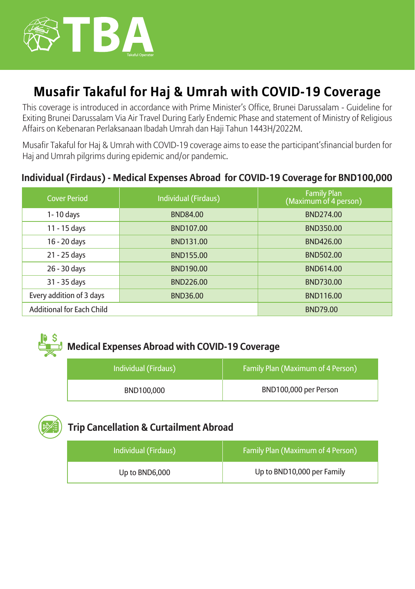

# **Musafir Takaful for Haj & Umrah with COVID-19 Coverage**

This coverage is introduced in accordance with Prime Minister's Office, Brunei Darussalam - Guideline for Exiting Brunei Darussalam Via Air Travel During Early Endemic Phase and statement of Ministry of Religious Affairs on Kebenaran Perlaksanaan Ibadah Umrah dan Haji Tahun 1443H/2022M.

Musafir Takaful for Haj & Umrah with COVID-19 coverage aims to ease the participant'sfinancial burden for Haj and Umrah pilgrims during epidemic and/or pandemic.

### **Individual (Firdaus) - Medical Expenses Abroad for COVID-19 Coverage for BND100,000**

| <b>Cover Period</b>              | Individual (Firdaus) | <b>Family Plan</b><br>(Maximum of 4 person) |
|----------------------------------|----------------------|---------------------------------------------|
| 1-10 days                        | <b>BND84.00</b>      | BND274.00                                   |
| 11 - 15 days                     | BND107.00            | BND350.00                                   |
| 16 - 20 days                     | BND131.00            | BND426.00                                   |
| 21 - 25 days                     | BND155.00            | <b>BND502.00</b>                            |
| 26 - 30 days                     | BND190.00            | BND614.00                                   |
| 31 - 35 days                     | BND226.00            | BND730.00                                   |
| Every addition of 3 days         | <b>BND36.00</b>      | <b>BND116.00</b>                            |
| <b>Additional for Each Child</b> |                      | <b>BND79.00</b>                             |

# **Medical Expenses Abroad with COVID-19 Coverage**

| Individual (Firdaus) | <b>Family Plan (Maximum of 4 Person)</b> |
|----------------------|------------------------------------------|
| BND100.000           | BND100,000 per Person                    |

## **Trip Cancellation & Curtailment Abroad**

| Individual (Firdaus) | <b>Family Plan (Maximum of 4 Person)</b> |
|----------------------|------------------------------------------|
| Up to BND6,000       | Up to BND10,000 per Family               |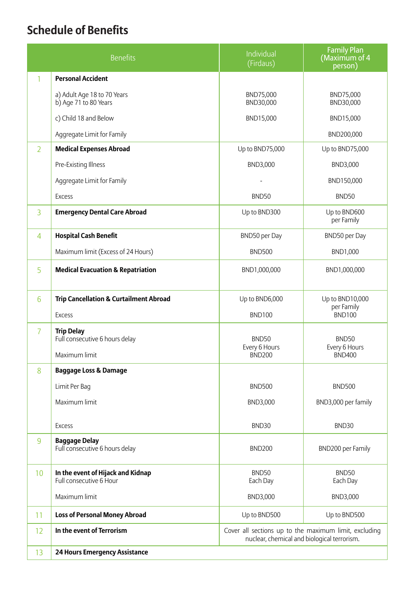# **Schedule of Benefits**

| <b>Benefits</b> |                                                              | Individual<br>(Firdaus)                                                                              | <b>Family Plan</b><br>(Maximum of 4<br>person) |  |
|-----------------|--------------------------------------------------------------|------------------------------------------------------------------------------------------------------|------------------------------------------------|--|
| 1               | <b>Personal Accident</b>                                     |                                                                                                      |                                                |  |
|                 | a) Adult Age 18 to 70 Years<br>b) Age 71 to 80 Years         | BND75,000<br>BND30,000                                                                               | BND75,000<br>BND30,000                         |  |
|                 | c) Child 18 and Below                                        | BND15,000                                                                                            | BND15,000                                      |  |
|                 | Aggregate Limit for Family                                   |                                                                                                      | BND200,000                                     |  |
| $\overline{2}$  | <b>Medical Expenses Abroad</b>                               | Up to BND75,000                                                                                      | Up to BND75,000                                |  |
|                 | Pre-Existing Illness                                         | BND3,000                                                                                             | BND3,000                                       |  |
|                 | Aggregate Limit for Family                                   |                                                                                                      | BND150,000                                     |  |
|                 | <b>Excess</b>                                                | BND50                                                                                                | <b>BND50</b>                                   |  |
| 3               | <b>Emergency Dental Care Abroad</b>                          | Up to BND300                                                                                         | Up to BND600<br>per Family                     |  |
| 4               | <b>Hospital Cash Benefit</b>                                 | BND50 per Day                                                                                        | BND50 per Day                                  |  |
|                 | Maximum limit (Excess of 24 Hours)                           | <b>BND500</b>                                                                                        | BND1,000                                       |  |
| 5               | <b>Medical Evacuation &amp; Repatriation</b>                 | BND1,000,000                                                                                         | BND1,000,000                                   |  |
| 6               | <b>Trip Cancellation &amp; Curtailment Abroad</b>            | Up to BND6,000                                                                                       | Up to BND10,000<br>per Family                  |  |
|                 | <b>Excess</b>                                                | <b>BND100</b>                                                                                        | <b>BND100</b>                                  |  |
| 7               | <b>Trip Delay</b><br>Full consecutive 6 hours delay          | BND50                                                                                                | BND50                                          |  |
|                 | Maximum limit                                                | Every 6 Hours<br><b>BND200</b>                                                                       | Every 6 Hours<br><b>BND400</b>                 |  |
| 8               | <b>Baggage Loss &amp; Damage</b>                             |                                                                                                      |                                                |  |
|                 | Limit Per Bag                                                | <b>BND500</b>                                                                                        | <b>BND500</b>                                  |  |
|                 | Maximum limit                                                | BND3,000                                                                                             | BND3,000 per family                            |  |
|                 | <b>Excess</b>                                                | BND30                                                                                                | BND30                                          |  |
| 9               | <b>Baggage Delay</b><br>Full consecutive 6 hours delay       | <b>BND200</b>                                                                                        | BND200 per Family                              |  |
| 10              | In the event of Hijack and Kidnap<br>Full consecutive 6 Hour | BND50<br>Each Day                                                                                    | <b>BND50</b><br>Each Day                       |  |
|                 | Maximum limit                                                | BND3,000                                                                                             | BND3,000                                       |  |
| 11              | <b>Loss of Personal Money Abroad</b>                         | Up to BND500                                                                                         | Up to BND500                                   |  |
| 12              | In the event of Terrorism                                    | Cover all sections up to the maximum limit, excluding<br>nuclear, chemical and biological terrorism. |                                                |  |
| 13              | <b>24 Hours Emergency Assistance</b>                         |                                                                                                      |                                                |  |